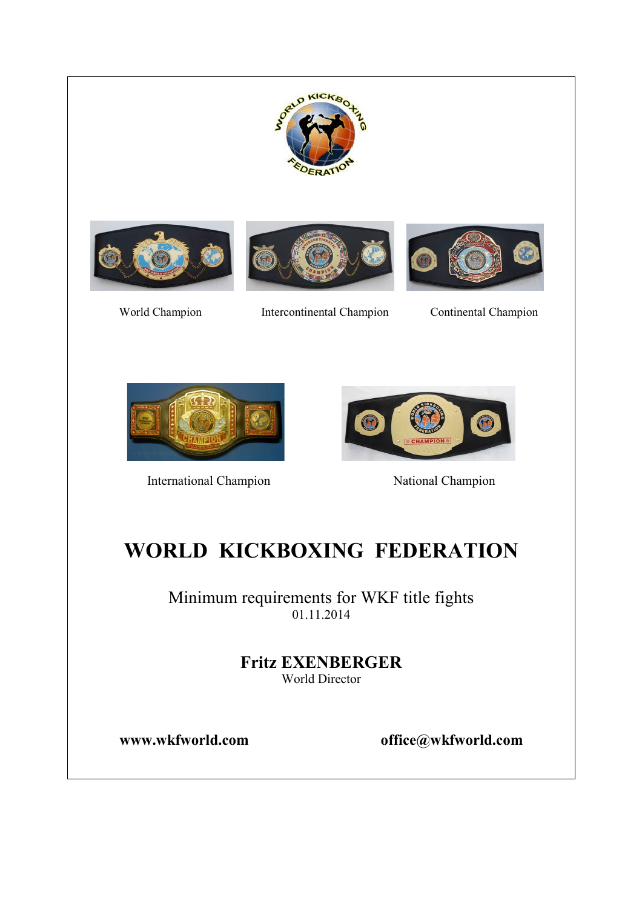







World Champion Intercontinental Champion Continental Champion



International Champion National Champion



# WORLD KICKBOXING FEDERATION

Minimum requirements for WKF title fights 01.11.2014

> Fritz EXENBERGER World Director

www.wkfworld.com office@wkfworld.com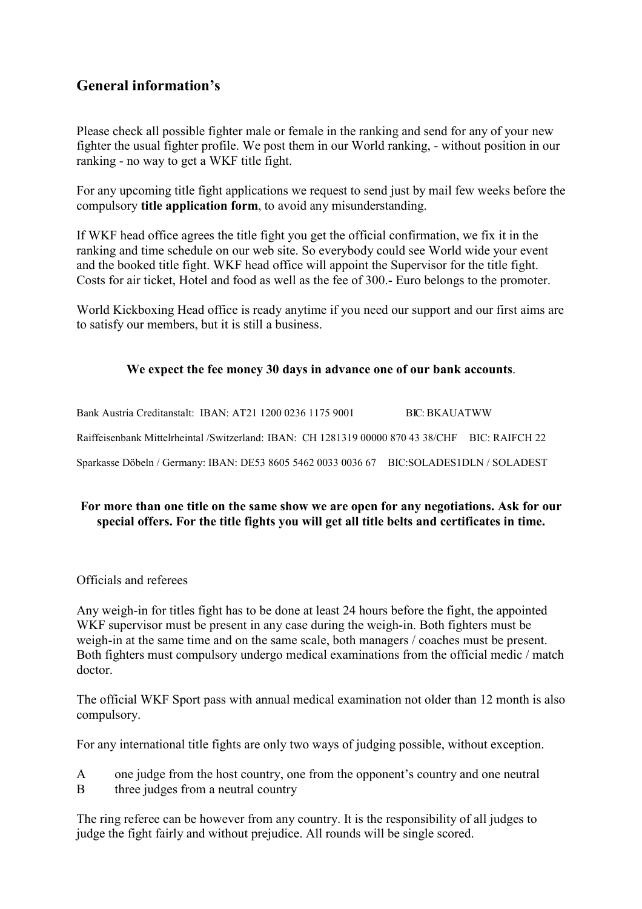# General information's

Please check all possible fighter male or female in the ranking and send for any of your new fighter the usual fighter profile. We post them in our World ranking, - without position in our ranking - no way to get a WKF title fight.

For any upcoming title fight applications we request to send just by mail few weeks before the compulsory title application form, to avoid any misunderstanding.

If WKF head office agrees the title fight you get the official confirmation, we fix it in the ranking and time schedule on our web site. So everybody could see World wide your event and the booked title fight. WKF head office will appoint the Supervisor for the title fight. Costs for air ticket, Hotel and food as well as the fee of 300.- Euro belongs to the promoter.

World Kickboxing Head office is ready anytime if you need our support and our first aims are to satisfy our members, but it is still a business.

## We expect the fee money 30 days in advance one of our bank accounts.

Bank Austria Creditanstalt: IBAN: AT21 1200 0236 1175 9001 BIC: BKAUATWW Raiffeisenbank Mittelrheintal /Switzerland: IBAN: CH 1281319 00000 870 43 38/CHF BIC: RAIFCH 22 Sparkasse Döbeln / Germany: IBAN: DE53 8605 5462 0033 0036 67 BIC:SOLADES1DLN / SOLADEST

## For more than one title on the same show we are open for any negotiations. Ask for our special offers. For the title fights you will get all title belts and certificates in time.

#### Officials and referees

Any weigh-in for titles fight has to be done at least 24 hours before the fight, the appointed WKF supervisor must be present in any case during the weigh-in. Both fighters must be weigh-in at the same time and on the same scale, both managers / coaches must be present. Both fighters must compulsory undergo medical examinations from the official medic / match doctor.

The official WKF Sport pass with annual medical examination not older than 12 month is also compulsory.

For any international title fights are only two ways of judging possible, without exception.

- A one judge from the host country, one from the opponent's country and one neutral
- B three judges from a neutral country

The ring referee can be however from any country. It is the responsibility of all judges to judge the fight fairly and without prejudice. All rounds will be single scored.